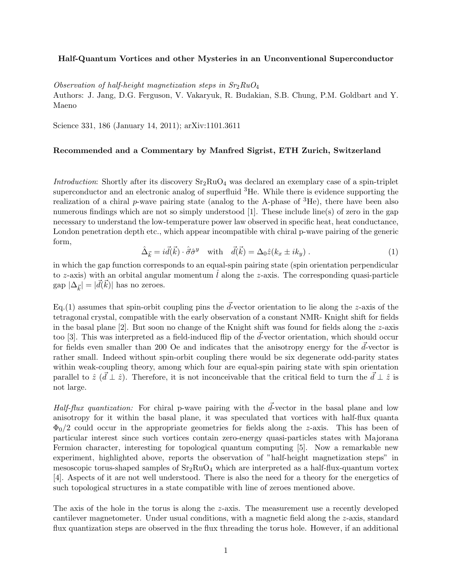## Half-Quantum Vortices and other Mysteries in an Unconventional Superconductor

Observation of half-height magnetization steps in  $Sr<sub>2</sub>RuO<sub>4</sub>$ 

Authors: J. Jang, D.G. Ferguson, V. Vakaryuk, R. Budakian, S.B. Chung, P.M. Goldbart and Y. Maeno

Science 331, 186 (January 14, 2011); arXiv:1101.3611

## Recommended and a Commentary by Manfred Sigrist, ETH Zurich, Switzerland

Introduction: Shortly after its discovery  $Sr_2RuO_4$  was declared an exemplary case of a spin-triplet superconductor and an electronic analog of superfluid  ${}^{3}$ He. While there is evidence supporting the realization of a chiral p-wave pairing state (analog to the A-phase of  ${}^{3}$ He), there have been also numerous findings which are not so simply understood [1]. These include line(s) of zero in the gap necessary to understand the low-temperature power law observed in specific heat, heat conductance, London penetration depth etc., which appear incompatible with chiral p-wave pairing of the generic form,

$$
\hat{\Delta}_{\vec{k}} = i\vec{d}(\vec{k}) \cdot \hat{\vec{\sigma}} \hat{\sigma}^y \quad \text{with} \quad \vec{d}(\vec{k}) = \Delta_0 \hat{z}(k_x \pm ik_y) \,. \tag{1}
$$

in which the gap function corresponds to an equal-spin pairing state (spin orientation perpendicular to z-axis) with an orbital angular momentum  $\hat{l}$  along the z-axis. The corresponding quasi-particle gap  $|\Delta_{\vec{k}}| = |\vec{d}(\vec{k})|$  has no zeroes.

Eq.(1) assumes that spin-orbit coupling pins the  $\vec{d}$ -vector orientation to lie along the z-axis of the tetragonal crystal, compatible with the early observation of a constant NMR- Knight shift for fields in the basal plane  $[2]$ . But soon no change of the Knight shift was found for fields along the z-axis too [3]. This was interpreted as a field-induced flip of the  $\vec{d}$ -vector orientation, which should occur for fields even smaller than 200 Oe and indicates that the anisotropy energy for the  $d$ -vector is rather small. Indeed without spin-orbit coupling there would be six degenerate odd-parity states within weak-coupling theory, among which four are equal-spin pairing state with spin orientation parallel to  $\hat{z}$  ( $\vec{d} \perp \hat{z}$ ). Therefore, it is not inconceivable that the critical field to turn the  $\vec{d} \perp \hat{z}$  is not large.

Half-flux quantization: For chiral p-wave pairing with the  $\vec{d}$ -vector in the basal plane and low anisotropy for it within the basal plane, it was speculated that vortices with half-flux quanta  $\Phi_0/2$  could occur in the appropriate geometries for fields along the *z*-axis. This has been of particular interest since such vortices contain zero-energy quasi-particles states with Majorana Fermion character, interesting for topological quantum computing [5]. Now a remarkable new experiment, highlighted above, reports the observation of "half-height magnetization steps" in mesoscopic torus-shaped samples of  $Sr_2RuO_4$  which are interpreted as a half-flux-quantum vortex [4]. Aspects of it are not well understood. There is also the need for a theory for the energetics of such topological structures in a state compatible with line of zeroes mentioned above.

The axis of the hole in the torus is along the z-axis. The measurement use a recently developed cantilever magnetometer. Under usual conditions, with a magnetic field along the z-axis, standard flux quantization steps are observed in the flux threading the torus hole. However, if an additional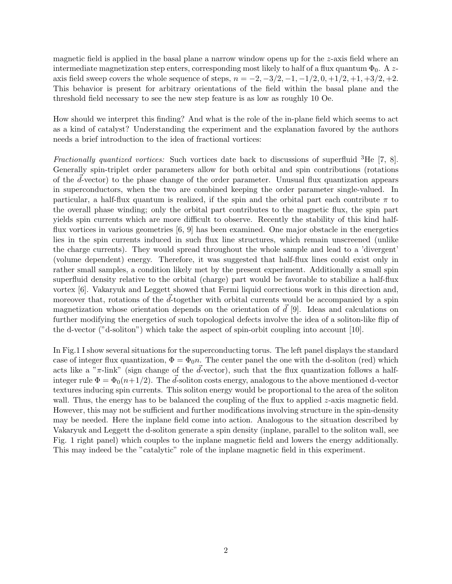magnetic field is applied in the basal plane a narrow window opens up for the z-axis field where an intermediate magnetization step enters, corresponding most likely to half of a flux quantum  $\Phi_0$ . A zaxis field sweep covers the whole sequence of steps,  $n = -2, -3/2, -1, -1/2, 0, +1/2, +1, +3/2, +2.$ This behavior is present for arbitrary orientations of the field within the basal plane and the threshold field necessary to see the new step feature is as low as roughly 10 Oe.

How should we interpret this finding? And what is the role of the in-plane field which seems to act as a kind of catalyst? Understanding the experiment and the explanation favored by the authors needs a brief introduction to the idea of fractional vortices:

Fractionally quantized vortices: Such vortices date back to discussions of superfluid <sup>3</sup>He [7, 8]. Generally spin-triplet order parameters allow for both orbital and spin contributions (rotations of the  $d$ -vector) to the phase change of the order parameter. Unusual flux quantization appears in superconductors, when the two are combined keeping the order parameter single-valued. In particular, a half-flux quantum is realized, if the spin and the orbital part each contribute  $\pi$  to the overall phase winding; only the orbital part contributes to the magnetic flux, the spin part yields spin currents which are more difficult to observe. Recently the stability of this kind halfflux vortices in various geometries [6, 9] has been examined. One major obstacle in the energetics lies in the spin currents induced in such flux line structures, which remain unscreened (unlike the charge currents). They would spread throughout the whole sample and lead to a 'divergent' (volume dependent) energy. Therefore, it was suggested that half-flux lines could exist only in rather small samples, a condition likely met by the present experiment. Additionally a small spin superfluid density relative to the orbital (charge) part would be favorable to stabilize a half-flux vortex [6]. Vakaryuk and Leggett showed that Fermi liquid corrections work in this direction and, moreover that, rotations of the  $\vec{d}$ -together with orbital currents would be accompanied by a spin magnetization whose orientation depends on the orientation of  $\vec{d}$  [9]. Ideas and calculations on further modifying the energetics of such topological defects involve the idea of a soliton-like flip of the d-vector ("d-soliton") which take the aspect of spin-orbit coupling into account [10].

In Fig.1 I show several situations for the superconducting torus. The left panel displays the standard case of integer flux quantization,  $\Phi = \Phi_0 n$ . The center panel the one with the d-soliton (red) which acts like a " $\pi$ -link" (sign change of the  $\vec{d}$ -vector), such that the flux quantization follows a halfinteger rule  $\Phi = \Phi_0(n+1/2)$ . The d-soliton costs energy, analogous to the above mentioned d-vector textures inducing spin currents. This soliton energy would be proportional to the area of the soliton wall. Thus, the energy has to be balanced the coupling of the flux to applied  $z$ -axis magnetic field. However, this may not be sufficient and further modifications involving structure in the spin-density may be needed. Here the inplane field come into action. Analogous to the situation described by Vakaryuk and Leggett the d-soliton generate a spin density (inplane, parallel to the soliton wall, see Fig. 1 right panel) which couples to the inplane magnetic field and lowers the energy additionally. This may indeed be the "catalytic" role of the inplane magnetic field in this experiment.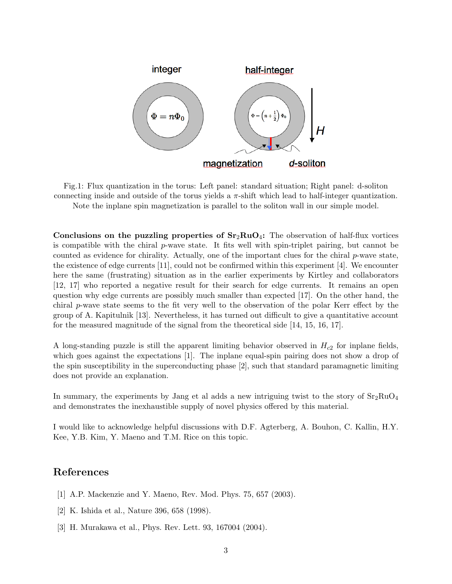

Fig.1: Flux quantization in the torus: Left panel: standard situation; Right panel: d-soliton connecting inside and outside of the torus yields a  $\pi$ -shift which lead to half-integer quantization. Note the inplane spin magnetization is parallel to the soliton wall in our simple model.

Conclusions on the puzzling properties of  $Sr_2RuO_4$ : The observation of half-flux vortices is compatible with the chiral  $p$ -wave state. It fits well with spin-triplet pairing, but cannot be counted as evidence for chirality. Actually, one of the important clues for the chiral p-wave state, the existence of edge currents [11], could not be confirmed within this experiment [4]. We encounter here the same (frustrating) situation as in the earlier experiments by Kirtley and collaborators [12, 17] who reported a negative result for their search for edge currents. It remains an open question why edge currents are possibly much smaller than expected [17]. On the other hand, the chiral p-wave state seems to the fit very well to the observation of the polar Kerr effect by the group of A. Kapitulnik [13]. Nevertheless, it has turned out difficult to give a quantitative account for the measured magnitude of the signal from the theoretical side [14, 15, 16, 17].

A long-standing puzzle is still the apparent limiting behavior observed in  $H_{c2}$  for inplane fields, which goes against the expectations [1]. The inplane equal-spin pairing does not show a drop of the spin susceptibility in the superconducting phase [2], such that standard paramagnetic limiting does not provide an explanation.

In summary, the experiments by Jang et al adds a new intriguing twist to the story of  $Sr<sub>2</sub>RuO<sub>4</sub>$ and demonstrates the inexhaustible supply of novel physics offered by this material.

I would like to acknowledge helpful discussions with D.F. Agterberg, A. Bouhon, C. Kallin, H.Y. Kee, Y.B. Kim, Y. Maeno and T.M. Rice on this topic.

## References

- [1] A.P. Mackenzie and Y. Maeno, Rev. Mod. Phys. 75, 657 (2003).
- [2] K. Ishida et al., Nature 396, 658 (1998).
- [3] H. Murakawa et al., Phys. Rev. Lett. 93, 167004 (2004).